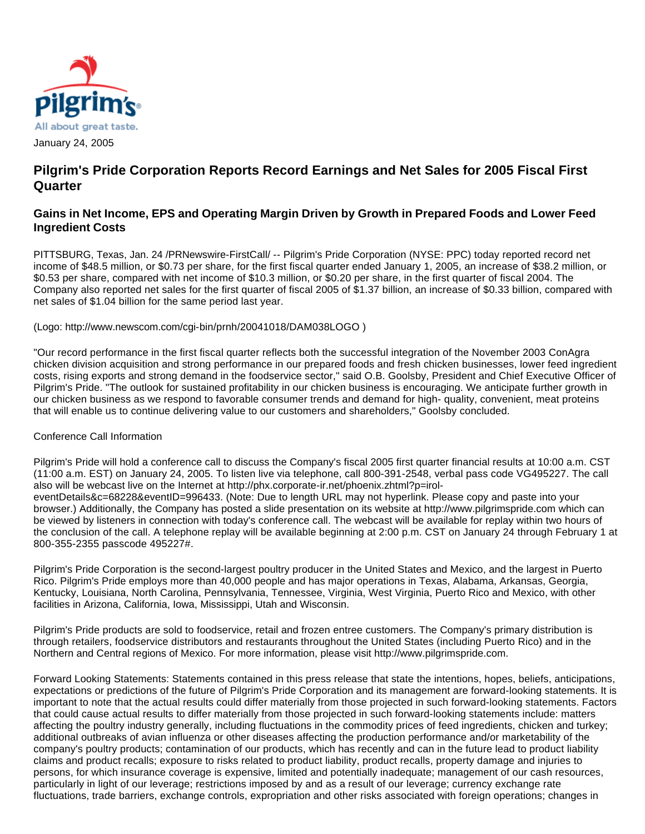

# **Pilgrim's Pride Corporation Reports Record Earnings and Net Sales for 2005 Fiscal First Quarter**

## **Gains in Net Income, EPS and Operating Margin Driven by Growth in Prepared Foods and Lower Feed Ingredient Costs**

PITTSBURG, Texas, Jan. 24 /PRNewswire-FirstCall/ -- Pilgrim's Pride Corporation (NYSE: PPC) today reported record net income of \$48.5 million, or \$0.73 per share, for the first fiscal quarter ended January 1, 2005, an increase of \$38.2 million, or \$0.53 per share, compared with net income of \$10.3 million, or \$0.20 per share, in the first quarter of fiscal 2004. The Company also reported net sales for the first quarter of fiscal 2005 of \$1.37 billion, an increase of \$0.33 billion, compared with net sales of \$1.04 billion for the same period last year.

(Logo: http://www.newscom.com/cgi-bin/prnh/20041018/DAM038LOGO )

"Our record performance in the first fiscal quarter reflects both the successful integration of the November 2003 ConAgra chicken division acquisition and strong performance in our prepared foods and fresh chicken businesses, lower feed ingredient costs, rising exports and strong demand in the foodservice sector," said O.B. Goolsby, President and Chief Executive Officer of Pilgrim's Pride. "The outlook for sustained profitability in our chicken business is encouraging. We anticipate further growth in our chicken business as we respond to favorable consumer trends and demand for high- quality, convenient, meat proteins that will enable us to continue delivering value to our customers and shareholders," Goolsby concluded.

#### Conference Call Information

Pilgrim's Pride will hold a conference call to discuss the Company's fiscal 2005 first quarter financial results at 10:00 a.m. CST (11:00 a.m. EST) on January 24, 2005. To listen live via telephone, call 800-391-2548, verbal pass code VG495227. The call also will be webcast live on the Internet at http://phx.corporate-ir.net/phoenix.zhtml?p=iroleventDetails&c=68228&eventID=996433. (Note: Due to length URL may not hyperlink. Please copy and paste into your browser.) Additionally, the Company has posted a slide presentation on its website at http://www.pilgrimspride.com which can be viewed by listeners in connection with today's conference call. The webcast will be available for replay within two hours of the conclusion of the call. A telephone replay will be available beginning at 2:00 p.m. CST on January 24 through February 1 at 800-355-2355 passcode 495227#.

Pilgrim's Pride Corporation is the second-largest poultry producer in the United States and Mexico, and the largest in Puerto Rico. Pilgrim's Pride employs more than 40,000 people and has major operations in Texas, Alabama, Arkansas, Georgia, Kentucky, Louisiana, North Carolina, Pennsylvania, Tennessee, Virginia, West Virginia, Puerto Rico and Mexico, with other facilities in Arizona, California, Iowa, Mississippi, Utah and Wisconsin.

Pilgrim's Pride products are sold to foodservice, retail and frozen entree customers. The Company's primary distribution is through retailers, foodservice distributors and restaurants throughout the United States (including Puerto Rico) and in the Northern and Central regions of Mexico. For more information, please visit http://www.pilgrimspride.com.

Forward Looking Statements: Statements contained in this press release that state the intentions, hopes, beliefs, anticipations, expectations or predictions of the future of Pilgrim's Pride Corporation and its management are forward-looking statements. It is important to note that the actual results could differ materially from those projected in such forward-looking statements. Factors that could cause actual results to differ materially from those projected in such forward-looking statements include: matters affecting the poultry industry generally, including fluctuations in the commodity prices of feed ingredients, chicken and turkey; additional outbreaks of avian influenza or other diseases affecting the production performance and/or marketability of the company's poultry products; contamination of our products, which has recently and can in the future lead to product liability claims and product recalls; exposure to risks related to product liability, product recalls, property damage and injuries to persons, for which insurance coverage is expensive, limited and potentially inadequate; management of our cash resources, particularly in light of our leverage; restrictions imposed by and as a result of our leverage; currency exchange rate fluctuations, trade barriers, exchange controls, expropriation and other risks associated with foreign operations; changes in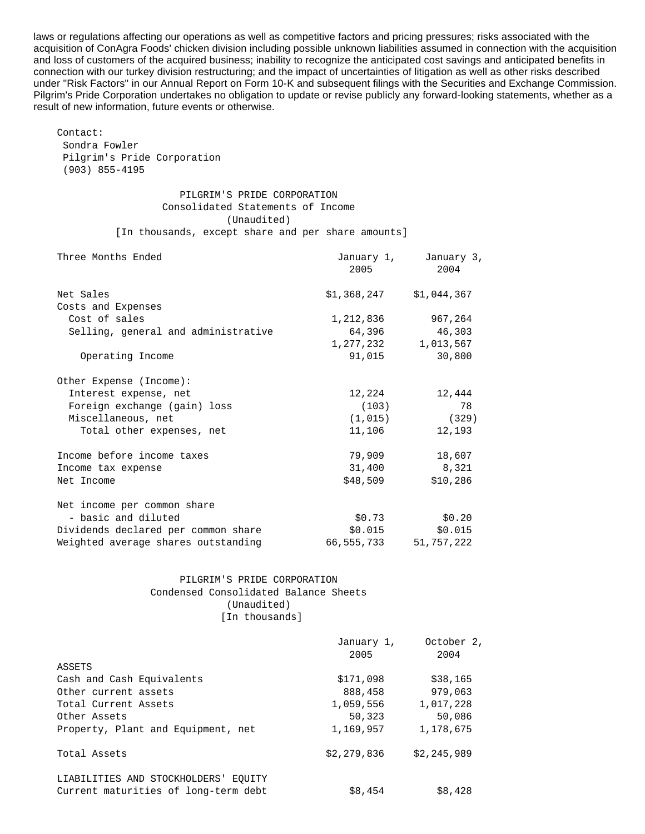laws or regulations affecting our operations as well as competitive factors and pricing pressures; risks associated with the acquisition of ConAgra Foods' chicken division including possible unknown liabilities assumed in connection with the acquisition and loss of customers of the acquired business; inability to recognize the anticipated cost savings and anticipated benefits in connection with our turkey division restructuring; and the impact of uncertainties of litigation as well as other risks described under "Risk Factors" in our Annual Report on Form 10-K and subsequent filings with the Securities and Exchange Commission. Pilgrim's Pride Corporation undertakes no obligation to update or revise publicly any forward-looking statements, whether as a result of new information, future events or otherwise.

 Contact: Sondra Fowler Pilgrim's Pride Corporation (903) 855-4195

> PILGRIM'S PRIDE CORPORATION Consolidated Statements of Income (Unaudited)

[In thousands, except share and per share amounts]

| Three Months Ended                  | 2005                      | January 1, January 3,<br>2004 |
|-------------------------------------|---------------------------|-------------------------------|
| Net Sales                           | $$1,368,247$ $$1,044,367$ |                               |
| Costs and Expenses                  |                           |                               |
| Cost of sales                       | 1,212,836                 | 967,264                       |
| Selling, general and administrative | 64,396                    | 46,303                        |
|                                     | 1,277,232                 | 1,013,567                     |
| Operating Income                    | 91,015                    | 30,800                        |
| Other Expense (Income):             |                           |                               |
| Interest expense, net               | 12,224                    | 12,444                        |
| Foreign exchange (gain) loss        | (103)                     | 78                            |
| Miscellaneous, net                  | (1,015)                   | (329)                         |
| Total other expenses, net           | 11,106                    | 12,193                        |
| Income before income taxes          | 79,909                    | 18,607                        |
| Income tax expense                  | 31,400                    | 8,321                         |
| Net Income                          | \$48,509                  | \$10,286                      |
| Net income per common share         |                           |                               |
| - basic and diluted                 | \$0.73                    | \$0.20                        |
| Dividends declared per common share | \$0.015                   | \$0.015                       |
| Weighted average shares outstanding | 66,555,733                | 51,757,222                    |

#### PILGRIM'S PRIDE CORPORATION Condensed Consolidated Balance Sheets (Unaudited) [In thousands]

|                                      | January 1,  | October 2,  |
|--------------------------------------|-------------|-------------|
|                                      | 2005        | 2004        |
| ASSETS                               |             |             |
| Cash and Cash Equivalents            | \$171,098   | \$38,165    |
| Other current assets                 | 888,458     | 979,063     |
| Total Current Assets                 | 1,059,556   | 1,017,228   |
| Other Assets                         | 50,323      | 50,086      |
| Property, Plant and Equipment, net   | 1,169,957   | 1,178,675   |
| Total Assets                         | \$2,279,836 | \$2,245,989 |
| LIABILITIES AND STOCKHOLDERS' EQUITY |             |             |
| Current maturities of long-term debt | \$8,454     | \$8,428     |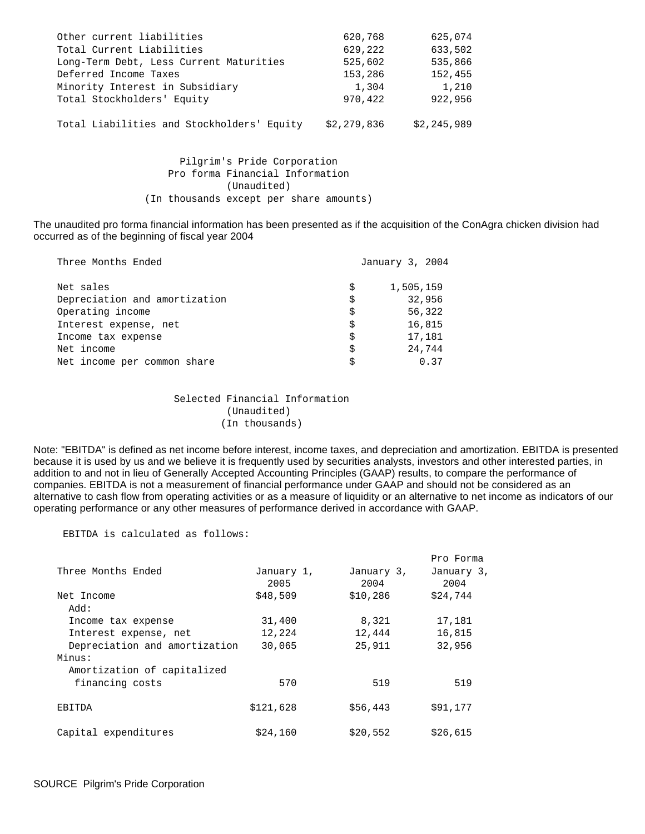| Other current liabilities                  | 620,768     | 625,074     |
|--------------------------------------------|-------------|-------------|
| Total Current Liabilities                  | 629,222     | 633,502     |
| Long-Term Debt, Less Current Maturities    | 525,602     | 535,866     |
| Deferred Income Taxes                      | 153,286     | 152,455     |
| Minority Interest in Subsidiary            | 1,304       | 1,210       |
| Total Stockholders' Equity                 | 970,422     | 922,956     |
| Total Liabilities and Stockholders' Equity | \$2,279,836 | \$2,245,989 |
|                                            |             |             |

 Pilgrim's Pride Corporation Pro forma Financial Information (Unaudited) (In thousands except per share amounts)

The unaudited pro forma financial information has been presented as if the acquisition of the ConAgra chicken division had occurred as of the beginning of fiscal year 2004

| Three Months Ended            |    | January 3, 2004 |  |
|-------------------------------|----|-----------------|--|
| Net sales                     | Ŝ  | 1,505,159       |  |
| Depreciation and amortization | Ŝ  | 32,956          |  |
| Operating income              | Ŝ  | 56,322          |  |
| Interest expense, net         | \$ | 16,815          |  |
| Income tax expense            | Ŝ  | 17,181          |  |
| Net income                    | \$ | 24,744          |  |
| Net income per common share   |    | 0.37            |  |

 Selected Financial Information (Unaudited) (In thousands)

Note: "EBITDA" is defined as net income before interest, income taxes, and depreciation and amortization. EBITDA is presented because it is used by us and we believe it is frequently used by securities analysts, investors and other interested parties, in addition to and not in lieu of Generally Accepted Accounting Principles (GAAP) results, to compare the performance of companies. EBITDA is not a measurement of financial performance under GAAP and should not be considered as an alternative to cash flow from operating activities or as a measure of liquidity or an alternative to net income as indicators of our operating performance or any other measures of performance derived in accordance with GAAP.

EBITDA is calculated as follows:

|                               |            |            | Pro Forma  |
|-------------------------------|------------|------------|------------|
| Three Months Ended            | January 1, | January 3, | January 3, |
|                               | 2005       | 2004       | 2004       |
| Net Income                    | \$48,509   | \$10,286   | \$24,744   |
| : Add                         |            |            |            |
| Income tax expense            | 31,400     | 8,321      | 17,181     |
| Interest expense, net         | 12,224     | 12,444     | 16,815     |
| Depreciation and amortization | 30,065     | 25,911     | 32,956     |
| Minus:                        |            |            |            |
| Amortization of capitalized   |            |            |            |
| financing costs               | 570        | 519        | 519        |
| EBITDA                        | \$121,628  | \$56.443   | \$91,177   |
| Capital expenditures          | \$24,160   | \$20,552   | \$26,615   |